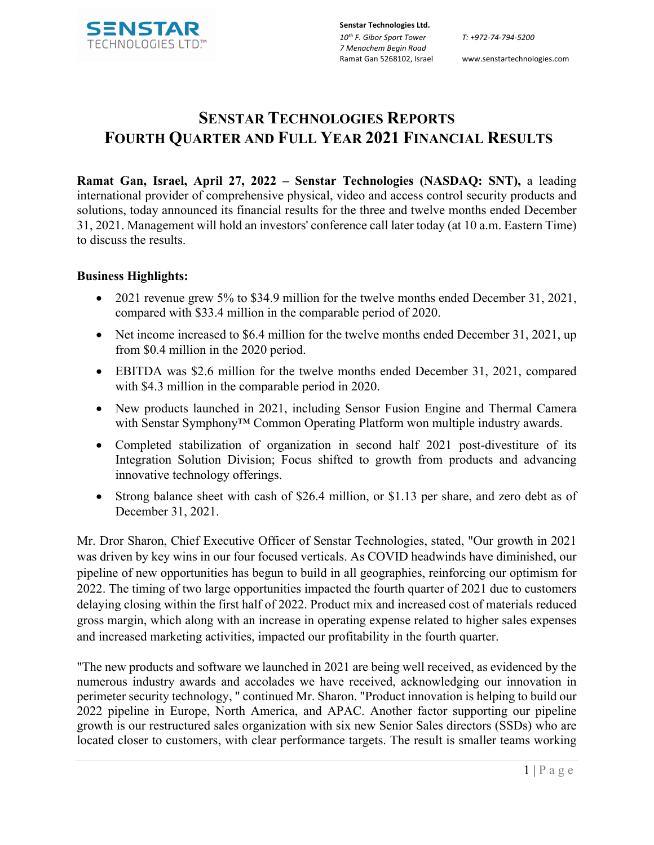

Ramat Gan 5268102, Israel www.senstartechnologies.com

# **SENSTAR TECHNOLOGIES REPORTS FOURTH QUARTER AND FULL YEAR 2021 FINANCIAL RESULTS**

**Ramat Gan, Israel, April 27, 2022 – Senstar Technologies (NASDAQ: SNT),** a leading international provider of comprehensive physical, video and access control security products and solutions, today announced its financial results for the three and twelve months ended December 31, 2021. Management will hold an investors' conference call later today (at 10 a.m. Eastern Time) to discuss the results.

# **Business Highlights:**

- 2021 revenue grew 5% to \$34.9 million for the twelve months ended December 31, 2021, compared with \$33.4 million in the comparable period of 2020.
- Net income increased to \$6.4 million for the twelve months ended December 31, 2021, up from \$0.4 million in the 2020 period.
- EBITDA was \$2.6 million for the twelve months ended December 31, 2021, compared with \$4.3 million in the comparable period in 2020.
- New products launched in 2021, including Sensor Fusion Engine and Thermal Camera with Senstar Symphony<sup>™</sup> Common Operating Platform won multiple industry awards.
- Completed stabilization of organization in second half 2021 post-divestiture of its Integration Solution Division; Focus shifted to growth from products and advancing innovative technology offerings.
- Strong balance sheet with cash of \$26.4 million, or \$1.13 per share, and zero debt as of December 31, 2021.

Mr. Dror Sharon, Chief Executive Officer of Senstar Technologies, stated, "Our growth in 2021 was driven by key wins in our four focused verticals. As COVID headwinds have diminished, our pipeline of new opportunities has begun to build in all geographies, reinforcing our optimism for 2022. The timing of two large opportunities impacted the fourth quarter of 2021 due to customers delaying closing within the first half of 2022. Product mix and increased cost of materials reduced gross margin, which along with an increase in operating expense related to higher sales expenses and increased marketing activities, impacted our profitability in the fourth quarter.

"The new products and software we launched in 2021 are being well received, as evidenced by the numerous industry awards and accolades we have received, acknowledging our innovation in perimeter security technology, " continued Mr. Sharon. "Product innovation is helping to build our 2022 pipeline in Europe, North America, and APAC. Another factor supporting our pipeline growth is our restructured sales organization with six new Senior Sales directors (SSDs) who are located closer to customers, with clear performance targets. The result is smaller teams working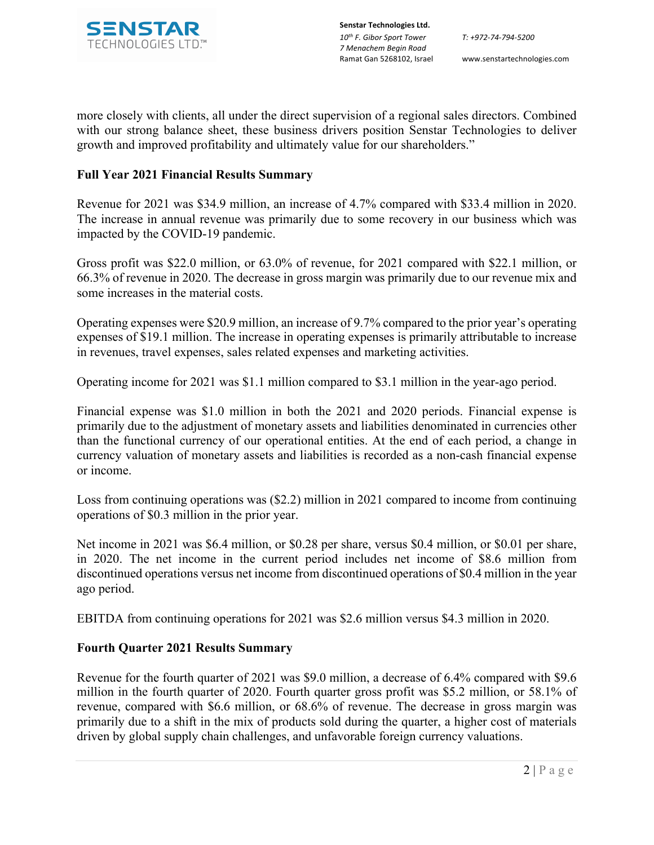

**Senstar Technologies Ltd.** *10th F. Gibor Sport Tower 7 Menachem Begin Road*  Ramat Gan 5268102, Israel www.senstartechnologies.com

more closely with clients, all under the direct supervision of a regional sales directors. Combined with our strong balance sheet, these business drivers position Senstar Technologies to deliver growth and improved profitability and ultimately value for our shareholders."

# **Full Year 2021 Financial Results Summary**

Revenue for 2021 was \$34.9 million, an increase of 4.7% compared with \$33.4 million in 2020. The increase in annual revenue was primarily due to some recovery in our business which was impacted by the COVID-19 pandemic.

Gross profit was \$22.0 million, or 63.0% of revenue, for 2021 compared with \$22.1 million, or 66.3% of revenue in 2020. The decrease in gross margin was primarily due to our revenue mix and some increases in the material costs.

Operating expenses were \$20.9 million, an increase of 9.7% compared to the prior year's operating expenses of \$19.1 million. The increase in operating expenses is primarily attributable to increase in revenues, travel expenses, sales related expenses and marketing activities.

Operating income for 2021 was \$1.1 million compared to \$3.1 million in the year-ago period.

Financial expense was \$1.0 million in both the 2021 and 2020 periods. Financial expense is primarily due to the adjustment of monetary assets and liabilities denominated in currencies other than the functional currency of our operational entities. At the end of each period, a change in currency valuation of monetary assets and liabilities is recorded as a non-cash financial expense or income.

Loss from continuing operations was (\$2.2) million in 2021 compared to income from continuing operations of \$0.3 million in the prior year.

Net income in 2021 was \$6.4 million, or \$0.28 per share, versus \$0.4 million, or \$0.01 per share, in 2020. The net income in the current period includes net income of \$8.6 million from discontinued operations versus net income from discontinued operations of \$0.4 million in the year ago period.

EBITDA from continuing operations for 2021 was \$2.6 million versus \$4.3 million in 2020.

# **Fourth Quarter 2021 Results Summary**

Revenue for the fourth quarter of 2021 was \$9.0 million, a decrease of 6.4% compared with \$9.6 million in the fourth quarter of 2020. Fourth quarter gross profit was \$5.2 million, or 58.1% of revenue, compared with \$6.6 million, or 68.6% of revenue. The decrease in gross margin was primarily due to a shift in the mix of products sold during the quarter, a higher cost of materials driven by global supply chain challenges, and unfavorable foreign currency valuations.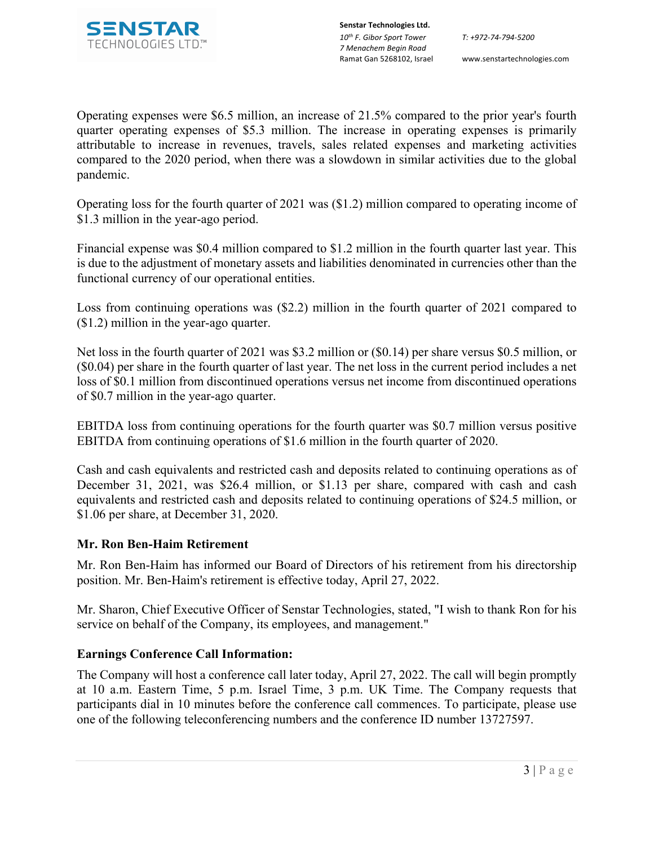

Operating expenses were \$6.5 million, an increase of 21.5% compared to the prior year's fourth quarter operating expenses of \$5.3 million. The increase in operating expenses is primarily attributable to increase in revenues, travels, sales related expenses and marketing activities compared to the 2020 period, when there was a slowdown in similar activities due to the global pandemic.

Operating loss for the fourth quarter of 2021 was (\$1.2) million compared to operating income of \$1.3 million in the year-ago period.

Financial expense was \$0.4 million compared to \$1.2 million in the fourth quarter last year. This is due to the adjustment of monetary assets and liabilities denominated in currencies other than the functional currency of our operational entities.

Loss from continuing operations was (\$2.2) million in the fourth quarter of 2021 compared to (\$1.2) million in the year-ago quarter.

Net loss in the fourth quarter of 2021 was \$3.2 million or (\$0.14) per share versus \$0.5 million, or (\$0.04) per share in the fourth quarter of last year. The net loss in the current period includes a net loss of \$0.1 million from discontinued operations versus net income from discontinued operations of \$0.7 million in the year-ago quarter.

EBITDA loss from continuing operations for the fourth quarter was \$0.7 million versus positive EBITDA from continuing operations of \$1.6 million in the fourth quarter of 2020.

Cash and cash equivalents and restricted cash and deposits related to continuing operations as of December 31, 2021, was \$26.4 million, or \$1.13 per share, compared with cash and cash equivalents and restricted cash and deposits related to continuing operations of \$24.5 million, or \$1.06 per share, at December 31, 2020.

# **Mr. Ron Ben-Haim Retirement**

Mr. Ron Ben-Haim has informed our Board of Directors of his retirement from his directorship position. Mr. Ben-Haim's retirement is effective today, April 27, 2022.

Mr. Sharon, Chief Executive Officer of Senstar Technologies, stated, "I wish to thank Ron for his service on behalf of the Company, its employees, and management."

# **Earnings Conference Call Information:**

The Company will host a conference call later today, April 27, 2022. The call will begin promptly at 10 a.m. Eastern Time, 5 p.m. Israel Time, 3 p.m. UK Time. The Company requests that participants dial in 10 minutes before the conference call commences. To participate, please use one of the following teleconferencing numbers and the conference ID number 13727597.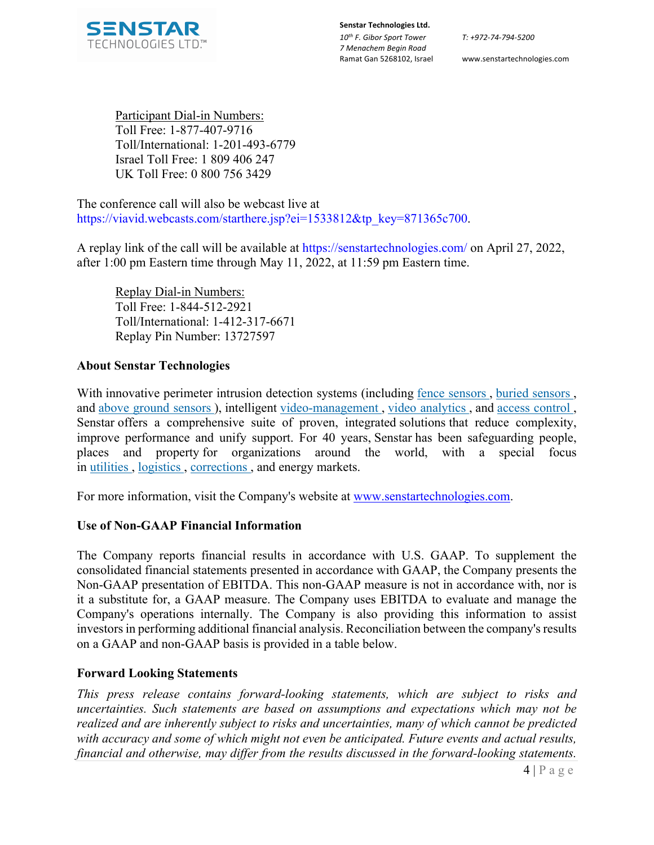

*T: +972-74-794-5200*

Ramat Gan 5268102, Israel www.senstartechnologies.com

Participant Dial-in Numbers: Toll Free: 1-877-407-9716 Toll/International: 1-201-493-6779 Israel Toll Free: 1 809 406 247 UK Toll Free: 0 800 756 3429

The conference call will also be webcast live at https://viavid.webcasts.com/starthere.jsp?ei=1533812&tp\_key=871365c700.

A replay link of the call will be available at https://senstartechnologies.com/ on April 27, 2022, after 1:00 pm Eastern time through May 11, 2022, at 11:59 pm Eastern time.

Replay Dial-in Numbers: Toll Free: 1-844-512-2921 Toll/International: 1-412-317-6671 Replay Pin Number: 13727597

# **About Senstar Technologies**

With innovative perimeter intrusion detection systems (including fence sensors, buried sensors, and above ground sensors ), intelligent video-management , video analytics , and access control , Senstar offers a comprehensive suite of proven, integrated solutions that reduce complexity, improve performance and unify support. For 40 years, Senstar has been safeguarding people, places and property for organizations around the world, with a special focus in utilities , logistics , corrections , and energy markets.

For more information, visit the Company's website at www.senstartechnologies.com.

# **Use of Non-GAAP Financial Information**

The Company reports financial results in accordance with U.S. GAAP. To supplement the consolidated financial statements presented in accordance with GAAP, the Company presents the Non-GAAP presentation of EBITDA. This non-GAAP measure is not in accordance with, nor is it a substitute for, a GAAP measure. The Company uses EBITDA to evaluate and manage the Company's operations internally. The Company is also providing this information to assist investors in performing additional financial analysis. Reconciliation between the company's results on a GAAP and non-GAAP basis is provided in a table below.

# **Forward Looking Statements**

*This press release contains forward-looking statements, which are subject to risks and uncertainties. Such statements are based on assumptions and expectations which may not be realized and are inherently subject to risks and uncertainties, many of which cannot be predicted with accuracy and some of which might not even be anticipated. Future events and actual results, financial and otherwise, may differ from the results discussed in the forward-looking statements.*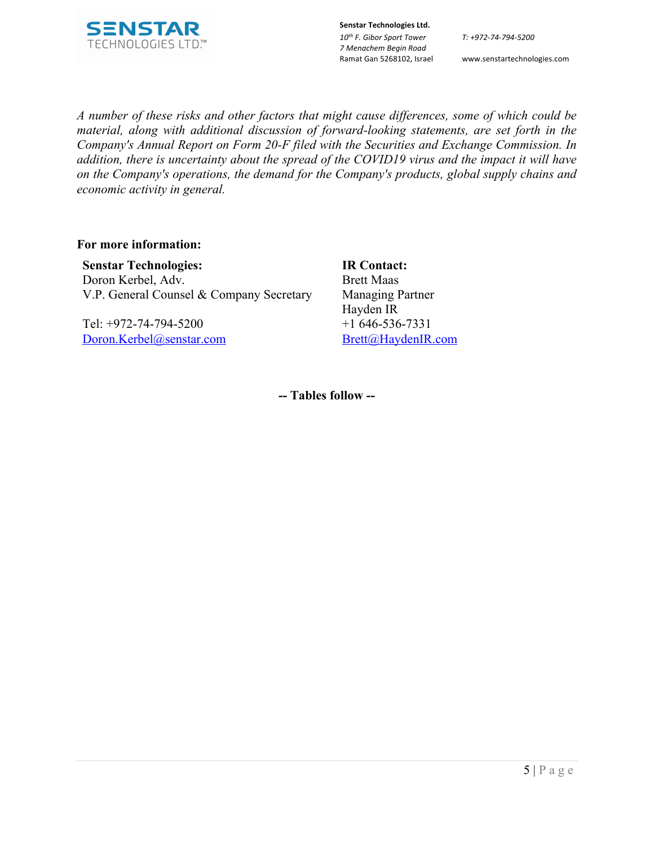

**Senstar Technologies Ltd.** *10th F. Gibor Sport Tower 7 Menachem Begin Road*  Ramat Gan 5268102, Israel www.senstartechnologies.com

*T: +972-74-794-5200*

*A number of these risks and other factors that might cause differences, some of which could be material, along with additional discussion of forward-looking statements, are set forth in the Company's Annual Report on Form 20-F filed with the Securities and Exchange Commission. In addition, there is uncertainty about the spread of the COVID19 virus and the impact it will have on the Company's operations, the demand for the Company's products, global supply chains and economic activity in general.*

#### **For more information:**

**Senstar Technologies:**  Doron Kerbel, Adv. V.P. General Counsel & Company Secretary

Tel: +972-74-794-5200 Doron.Kerbel@senstar.com **IR Contact:** Brett Maas Managing Partner Hayden IR +1 646-536-7331 Brett@HaydenIR.com

**-- Tables follow --**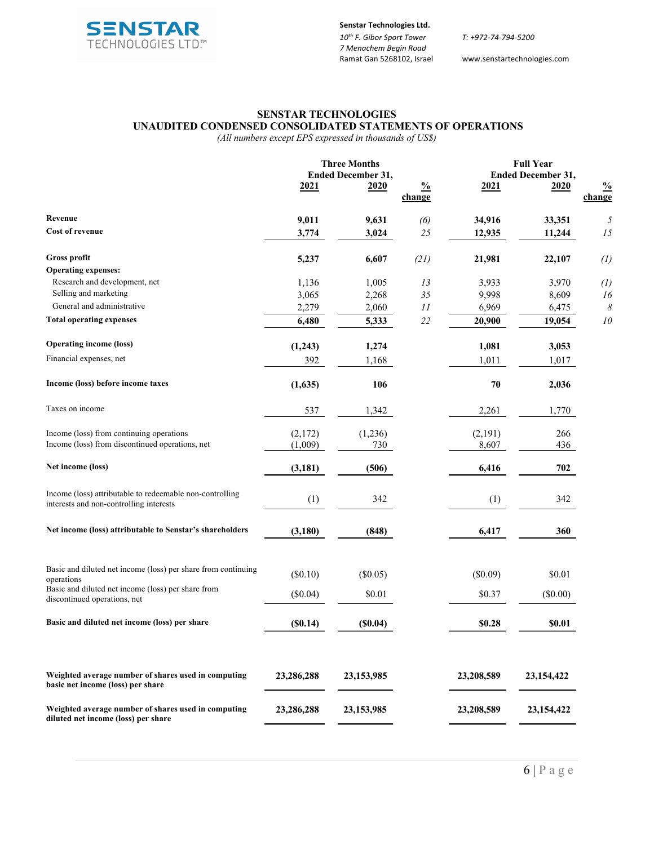

*T: +972-74-794-5200*

www.senstartechnologies.com

#### **SENSTAR TECHNOLOGIES UNAUDITED CONDENSED CONSOLIDATED STATEMENTS OF OPERATIONS**

*(All numbers except EPS expressed in thousands of US\$)*

|                                                                                                     | <b>Three Months</b><br><b>Ended December 31,</b> |                |                         | <b>Full Year</b><br><b>Ended December 31,</b> |                  |                         |
|-----------------------------------------------------------------------------------------------------|--------------------------------------------------|----------------|-------------------------|-----------------------------------------------|------------------|-------------------------|
|                                                                                                     | <u>2021</u>                                      | 2020           | $\frac{0}{0}$<br>change | <u>2021</u>                                   | 2020             | $\frac{0}{0}$<br>change |
| Revenue                                                                                             |                                                  |                |                         |                                               |                  |                         |
| Cost of revenue                                                                                     | 9,011<br>3,774                                   | 9,631<br>3,024 | (6)<br>25               | 34,916<br>12,935                              | 33,351<br>11,244 | 5<br>15                 |
| Gross profit                                                                                        | 5,237                                            | 6,607          | (21)                    | 21,981                                        | 22,107           | $\left( l\right)$       |
| <b>Operating expenses:</b>                                                                          |                                                  |                |                         |                                               |                  |                         |
| Research and development, net                                                                       | 1,136                                            | 1,005          | 13                      | 3,933                                         | 3,970            | (1)                     |
| Selling and marketing                                                                               | 3,065                                            | 2,268          | 35                      | 9,998                                         | 8,609            | 16                      |
| General and administrative                                                                          | 2,279                                            | 2,060          | $\cal II$               | 6,969                                         | 6,475            | $\boldsymbol{\delta}$   |
| <b>Total operating expenses</b>                                                                     | 6,480                                            | 5,333          | 22                      | 20,900                                        | 19,054           | ${\it 10}$              |
| <b>Operating income (loss)</b>                                                                      | (1,243)                                          | 1,274          |                         | 1,081                                         | 3,053            |                         |
| Financial expenses, net                                                                             | 392                                              | 1,168          |                         | 1,011                                         | 1,017            |                         |
| Income (loss) before income taxes                                                                   | (1,635)                                          | 106            |                         | 70                                            | 2,036            |                         |
| Taxes on income                                                                                     | 537                                              | 1,342          |                         | 2,261                                         | 1,770            |                         |
| Income (loss) from continuing operations                                                            | (2,172)                                          | (1,236)        |                         | (2,191)                                       | 266              |                         |
| Income (loss) from discontinued operations, net                                                     | (1,009)                                          | 730            |                         | 8,607                                         | 436              |                         |
| Net income (loss)                                                                                   | (3, 181)                                         | (506)          |                         | 6,416                                         | 702              |                         |
| Income (loss) attributable to redeemable non-controlling<br>interests and non-controlling interests | (1)                                              | 342            |                         | (1)                                           | 342              |                         |
| Net income (loss) attributable to Senstar's shareholders                                            | (3, 180)                                         | (848)          |                         | 6,417                                         | 360              |                         |
| Basic and diluted net income (loss) per share from continuing                                       | (\$0.10)                                         | $(\$0.05)$     |                         | (\$0.09)                                      | \$0.01           |                         |
| operations<br>Basic and diluted net income (loss) per share from                                    |                                                  |                |                         |                                               |                  |                         |
| discontinued operations, net                                                                        | (\$0.04)                                         | \$0.01         |                         | \$0.37                                        | (\$0.00)         |                         |
| Basic and diluted net income (loss) per share                                                       | (S0.14)                                          | (S0.04)        |                         | \$0.28                                        | \$0.01           |                         |
| Weighted average number of shares used in computing<br>basic net income (loss) per share            | 23,286,288                                       | 23, 153, 985   |                         | 23,208,589                                    | 23, 154, 422     |                         |
| Weighted average number of shares used in computing<br>diluted net income (loss) per share          | 23,286,288                                       | 23,153,985     |                         | 23,208,589                                    | 23, 154, 422     |                         |
|                                                                                                     |                                                  |                |                         |                                               |                  |                         |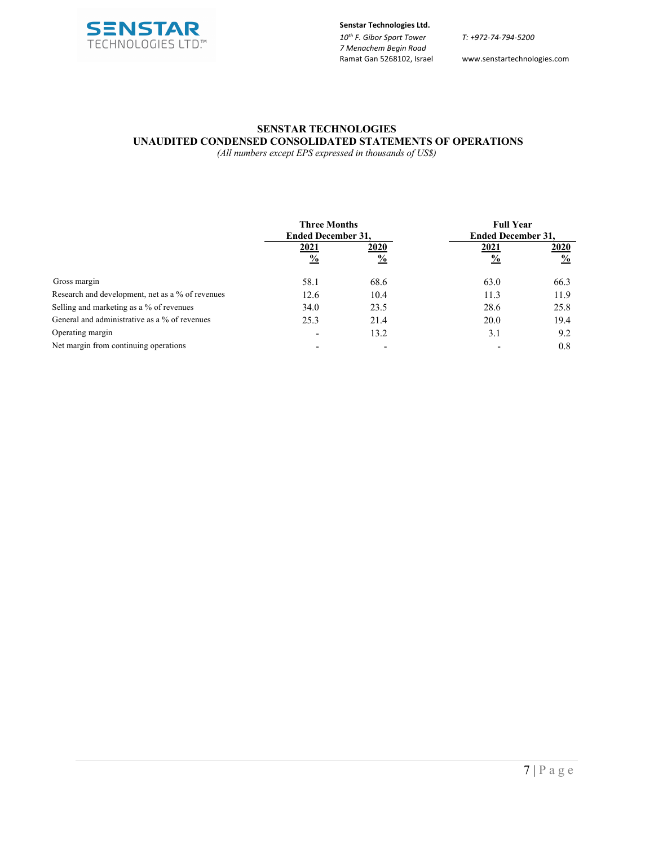

**Senstar Technologies Ltd.** *10th F. Gibor Sport Tower*

*7 Menachem Begin Road* 

*T: +972-74-794-5200*

www.senstartechnologies.com

#### **SENSTAR TECHNOLOGIES UNAUDITED CONDENSED CONSOLIDATED STATEMENTS OF OPERATIONS**

*(All numbers except EPS expressed in thousands of US\$)*

|                                                  | <b>Three Months</b><br><b>Ended December 31,</b> |                       | <b>Full Year</b><br><b>Ended December 31,</b> |                       |
|--------------------------------------------------|--------------------------------------------------|-----------------------|-----------------------------------------------|-----------------------|
|                                                  | 2021<br>$\frac{0}{0}$                            | 2020<br>$\frac{0}{0}$ | <u>2021</u><br>$\frac{0}{0}$                  | 2020<br>$\frac{0}{0}$ |
| Gross margin                                     | 58.1                                             | 68.6                  | 63.0                                          | 66.3                  |
| Research and development, net as a % of revenues | 12.6                                             | 10.4                  | 11.3                                          | 11.9                  |
| Selling and marketing as a % of revenues         | 34.0                                             | 23.5                  | 28.6                                          | 25.8                  |
| General and administrative as a % of revenues    | 25.3                                             | 21.4                  | 20.0                                          | 19.4                  |
| Operating margin                                 |                                                  | 13.2                  | 3.1                                           | 9.2                   |
| Net margin from continuing operations            |                                                  |                       |                                               | 0.8                   |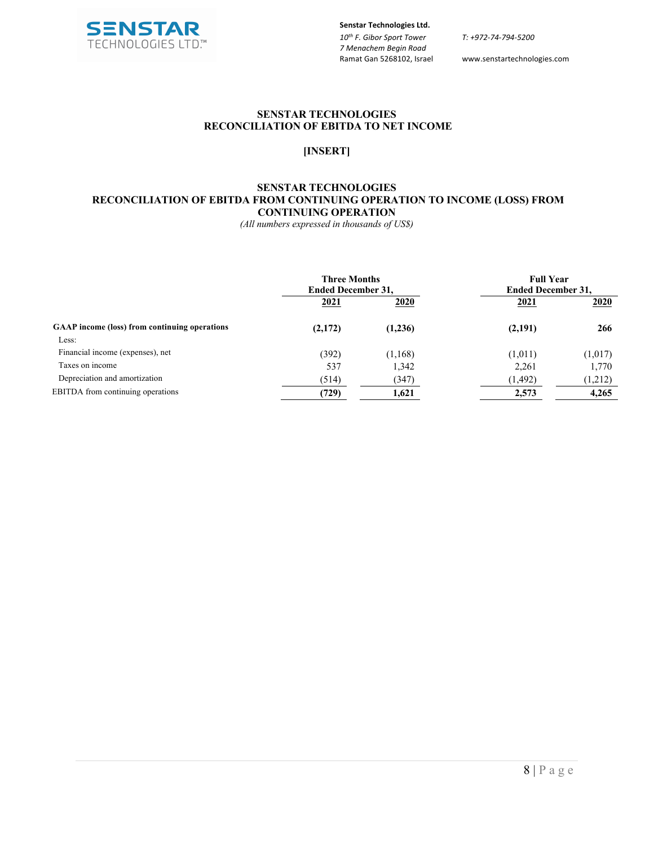

*T: +972-74-794-5200*

www.senstartechnologies.com

#### **SENSTAR TECHNOLOGIES RECONCILIATION OF EBITDA TO NET INCOME**

#### **[INSERT]**

#### **SENSTAR TECHNOLOGIES RECONCILIATION OF EBITDA FROM CONTINUING OPERATION TO INCOME (LOSS) FROM CONTINUING OPERATION**

*(All numbers expressed in thousands of US\$)*

|                                                      | <b>Three Months</b><br><b>Ended December 31,</b> |          | <b>Full Year</b><br><b>Ended December 31,</b> |             |
|------------------------------------------------------|--------------------------------------------------|----------|-----------------------------------------------|-------------|
|                                                      | 2021                                             | 2020     | 2021                                          | <u>2020</u> |
| <b>GAAP</b> income (loss) from continuing operations | (2,172)                                          | (1,236)  | (2,191)                                       | 266         |
| Less:                                                |                                                  |          |                                               |             |
| Financial income (expenses), net                     | (392)                                            | (1, 168) | (1,011)                                       | (1,017)     |
| Taxes on income                                      | 537                                              | 1,342    | 2,261                                         | 1,770       |
| Depreciation and amortization                        | (514)                                            | (347)    | (1, 492)                                      | (1,212)     |
| EBITDA from continuing operations                    | (729)                                            | 1,621    | 2,573                                         | 4,265       |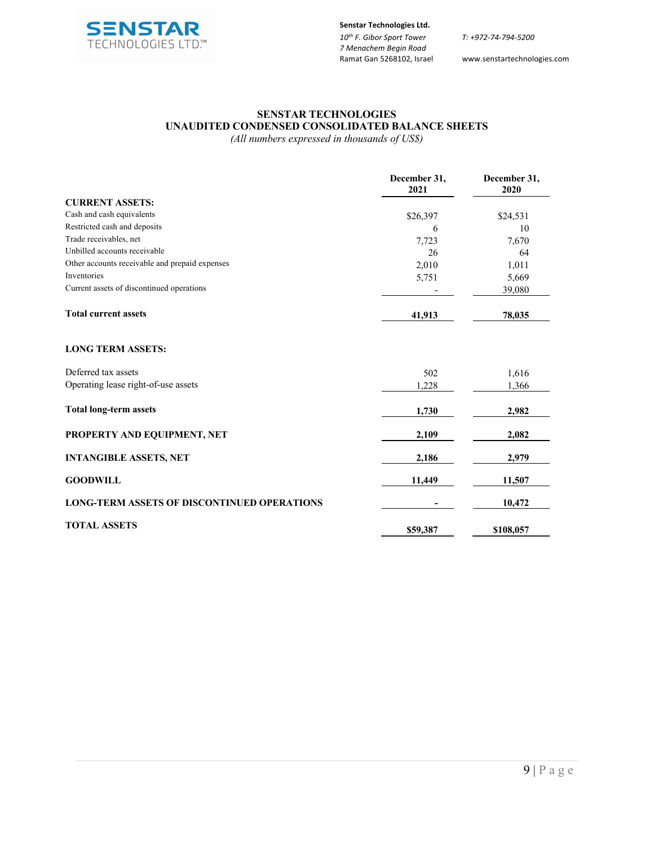

*T: +972-74-794-5200*

www.senstartechnologies.com

# **SENSTAR TECHNOLOGIES UNAUDITED CONDENSED CONSOLIDATED BALANCE SHEETS**

*(All numbers expressed in thousands of US\$)*

|                                                    | December 31,<br>2021 | December 31,<br>2020 |
|----------------------------------------------------|----------------------|----------------------|
| <b>CURRENT ASSETS:</b>                             |                      |                      |
| Cash and cash equivalents                          | \$26,397             | \$24,531             |
| Restricted cash and deposits                       | 6                    | 10                   |
| Trade receivables, net                             | 7,723                | 7,670                |
| Unbilled accounts receivable                       | 26                   | 64                   |
| Other accounts receivable and prepaid expenses     | 2,010                | 1,011                |
| Inventories                                        | 5,751                | 5,669                |
| Current assets of discontinued operations          |                      | 39,080               |
| <b>Total current assets</b>                        | 41,913               | 78,035               |
| <b>LONG TERM ASSETS:</b>                           |                      |                      |
| Deferred tax assets                                | 502                  | 1,616                |
| Operating lease right-of-use assets                | 1,228                | 1,366                |
| <b>Total long-term assets</b>                      | 1,730                | 2,982                |
| PROPERTY AND EQUIPMENT, NET                        | 2,109                | 2,082                |
| <b>INTANGIBLE ASSETS, NET</b>                      | 2,186                | 2,979                |
| <b>GOODWILL</b>                                    | 11,449               | 11,507               |
| <b>LONG-TERM ASSETS OF DISCONTINUED OPERATIONS</b> |                      | 10,472               |
| <b>TOTAL ASSETS</b>                                | \$59,387             | \$108,057            |